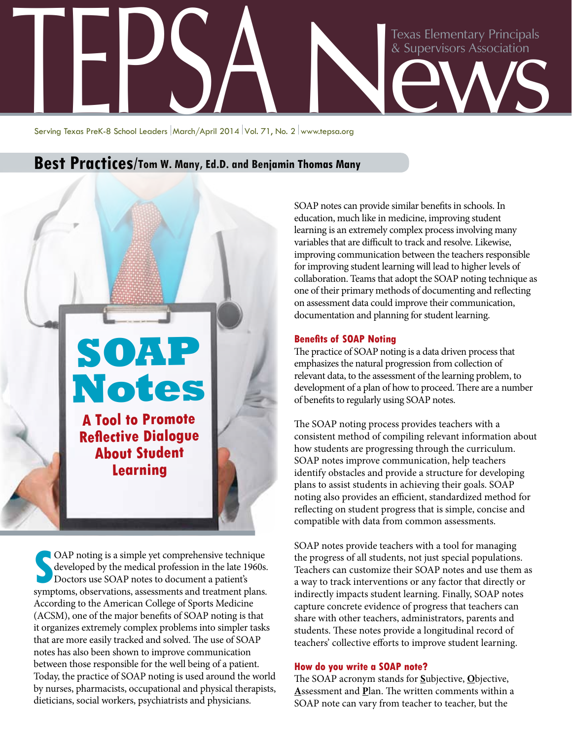

Serving Texas PreK-8 School Leaders March/April 2014 Vol. 71, No. 2 www.tepsa.org

# **Best Practices/Tom W. Many, Ed.D. and Benjamin Thomas Many**

# **SOAP Notes A Tool to Promote Reflective Dialogue About Student Learning**

OAP noting is a simple yet comprehensive technique developed by the medical profession in the late 1960s. Doctors use SOAP notes to document a patient's symptoms, observations, assessments and treatment plans. OAP noting is a simple yet comprehensive technique developed by the medical profession in the late 1960s. Doctors use SOAP notes to document a patient's According to the American College of Sports Medicine (ACSM), one of the major benefits of SOAP noting is that it organizes extremely complex problems into simpler tasks that are more easily tracked and solved. The use of SOAP notes has also been shown to improve communication between those responsible for the well being of a patient. Today, the practice of SOAP noting is used around the world by nurses, pharmacists, occupational and physical therapists, dieticians, social workers, psychiatrists and physicians.

SOAP notes can provide similar benefits in schools. In education, much like in medicine, improving student learning is an extremely complex process involving many variables that are difficult to track and resolve. Likewise, improving communication between the teachers responsible for improving student learning will lead to higher levels of collaboration. Teams that adopt the SOAP noting technique as one of their primary methods of documenting and reflecting on assessment data could improve their communication, documentation and planning for student learning.

#### **Benefits of SOAP Noting**

The practice of SOAP noting is a data driven process that emphasizes the natural progression from collection of relevant data, to the assessment of the learning problem, to development of a plan of how to proceed. There are a number of benefits to regularly using SOAP notes.

The SOAP noting process provides teachers with a consistent method of compiling relevant information about how students are progressing through the curriculum. SOAP notes improve communication, help teachers identify obstacles and provide a structure for developing plans to assist students in achieving their goals. SOAP noting also provides an efficient, standardized method for reflecting on student progress that is simple, concise and compatible with data from common assessments.

SOAP notes provide teachers with a tool for managing the progress of all students, not just special populations. Teachers can customize their SOAP notes and use them as a way to track interventions or any factor that directly or indirectly impacts student learning. Finally, SOAP notes capture concrete evidence of progress that teachers can share with other teachers, administrators, parents and students. These notes provide a longitudinal record of teachers' collective efforts to improve student learning.

#### **How do you write a SOAP note?**

The SOAP acronym stands for **S**ubjective, **O**bjective, **A**ssessment and **P**lan. The written comments within a SOAP note can vary from teacher to teacher, but the